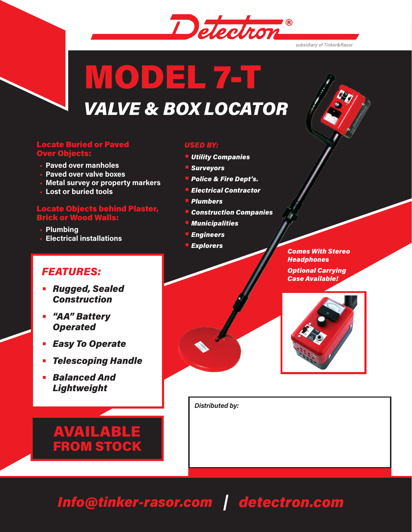

# MODEL 7-T *VALVE & BOX LOCATOR*

#### Locate Buried or Paved Over Objects:

- **• Paved over manholes**
- **• Paved over valve boxes**
- **• Metal survey or property markers**
- **• Lost or buried tools**

#### Locate Objects behind Plaster, Brick or Wood Walls:

- **• Plumbing**
- **• Electrical installations**

## *FEATURES:*

- **•** *Rugged, Sealed Construction*
- **•** *"AA" Battery Operated*
- **•** *Easy To Operate*
- **•** *Telescoping Handle*
- **•** *Balanced And Lightweight*



#### *USED BY:*

- **•** *Utility Companies*
- **•** *Surveyors*
- **•** *Police & Fire Dept's.*
- **•** *Electrical Contractor*
- **•** *Plumbers*
- **•** *Construction Companies*
- **•** *Municipalities*
- **•** *Engineers*
- **•** *Explorers*





*Distributed by:*

# *Info@tinker-rasor.com detectron.com*